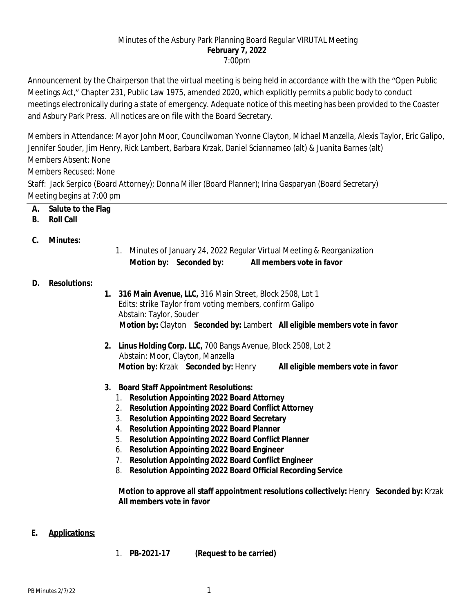#### Minutes of the Asbury Park Planning Board Regular VIRUTAL Meeting **February 7, 2022** 7:00pm

Announcement by the Chairperson that the virtual meeting is being held in accordance with the with the "Open Public Meetings Act," Chapter 231, Public Law 1975, amended 2020, which explicitly permits a public body to conduct meetings electronically during a state of emergency. Adequate notice of this meeting has been provided to the Coaster and Asbury Park Press. All notices are on file with the Board Secretary.

Members in Attendance: Mayor John Moor, Councilwoman Yvonne Clayton, Michael Manzella, Alexis Taylor, Eric Galipo, Jennifer Souder, Jim Henry, Rick Lambert, Barbara Krzak, Daniel Sciannameo (alt) & Juanita Barnes (alt) Members Absent: None

Members Recused: None

Staff: Jack Serpico (Board Attorney); Donna Miller (Board Planner); Irina Gasparyan (Board Secretary) Meeting begins at 7:00 pm

- **A. Salute to the Flag**
- **B. Roll Call**
- **C. Minutes:**
- 1. Minutes of January 24, 2022 Regular Virtual Meeting & Reorganization **Motion by: Seconded by: All members vote in favor**

# **D. Resolutions:**

- **1. 316 Main Avenue, LLC,** 316 Main Street, Block 2508, Lot 1 Edits: strike Taylor from voting members, confirm Galipo Abstain: Taylor, Souder  **Motion by:** Clayton **Seconded by:** Lambert **All eligible members vote in favor**
- **2. Linus Holding Corp. LLC,** 700 Bangs Avenue, Block 2508, Lot 2 Abstain: Moor, Clayton, Manzella **Motion by:** Krzak **Seconded by:** Henry **All eligible members vote in favor**
- **3. Board Staff Appointment Resolutions:**
	- 1. **Resolution Appointing 2022 Board Attorney**
	- 2. **Resolution Appointing 2022 Board Conflict Attorney**
	- 3. **Resolution Appointing 2022 Board Secretary**
	- 4. **Resolution Appointing 2022 Board Planner**
	- 5. **Resolution Appointing 2022 Board Conflict Planner**
	- 6. **Resolution Appointing 2022 Board Engineer**
	- 7. **Resolution Appointing 2022 Board Conflict Engineer**
	- 8. **Resolution Appointing 2022 Board Official Recording Service**

**Motion to approve all staff appointment resolutions collectively:** Henry **Seconded by:** Krzak **All members vote in favor**

#### **E. Applications:**

1. **PB-2021-17 (Request to be carried)**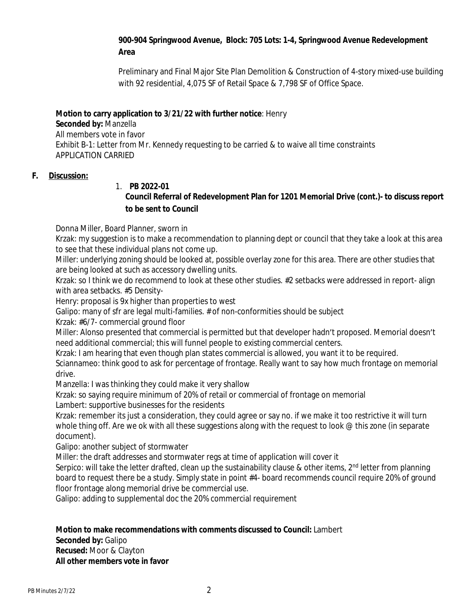# **900-904 Springwood Avenue, Block: 705 Lots: 1-4, Springwood Avenue Redevelopment Area**

Preliminary and Final Major Site Plan Demolition & Construction of 4-story mixed-use building with 92 residential, 4,075 SF of Retail Space & 7,798 SF of Office Space.

## **Motion to carry application to 3/21/22 with further notice**: Henry

**Seconded by:** Manzella All members vote in favor Exhibit B-1: Letter from Mr. Kennedy requesting to be carried & to waive all time constraints APPLICATION CARRIED

#### **F. Discussion:**

#### 1. **PB 2022-01**

# **Council Referral of Redevelopment Plan for 1201 Memorial Drive (cont.)- to discuss report to be sent to Council**

Donna Miller, Board Planner, sworn in

Krzak: my suggestion is to make a recommendation to planning dept or council that they take a look at this area to see that these individual plans not come up.

Miller: underlying zoning should be looked at, possible overlay zone for this area. There are other studies that are being looked at such as accessory dwelling units.

Krzak: so I think we do recommend to look at these other studies. #2 setbacks were addressed in report- align with area setbacks. #5 Density-

Henry: proposal is 9x higher than properties to west

Galipo: many of sfr are legal multi-families. # of non-conformities should be subject

Krzak: #6/7- commercial ground floor

Miller: Alonso presented that commercial is permitted but that developer hadn't proposed. Memorial doesn't need additional commercial; this will funnel people to existing commercial centers.

Krzak: I am hearing that even though plan states commercial is allowed, you want it to be required.

Sciannameo: think good to ask for percentage of frontage. Really want to say how much frontage on memorial drive.

Manzella: I was thinking they could make it very shallow

Krzak: so saying require minimum of 20% of retail or commercial of frontage on memorial

Lambert: supportive businesses for the residents

Krzak: remember its just a consideration, they could agree or say no. if we make it too restrictive it will turn whole thing off. Are we ok with all these suggestions along with the request to look @ this zone (in separate document).

Galipo: another subject of stormwater

Miller: the draft addresses and stormwater regs at time of application will cover it

Serpico: will take the letter drafted, clean up the sustainability clause & other items,  $2^{nd}$  letter from planning board to request there be a study. Simply state in point #4- board recommends council require 20% of ground floor frontage along memorial drive be commercial use.

Galipo: adding to supplemental doc the 20% commercial requirement

**Motion to make recommendations with comments discussed to Council:** Lambert **Seconded by:** Galipo **Recused:** Moor & Clayton **All other members vote in favor**